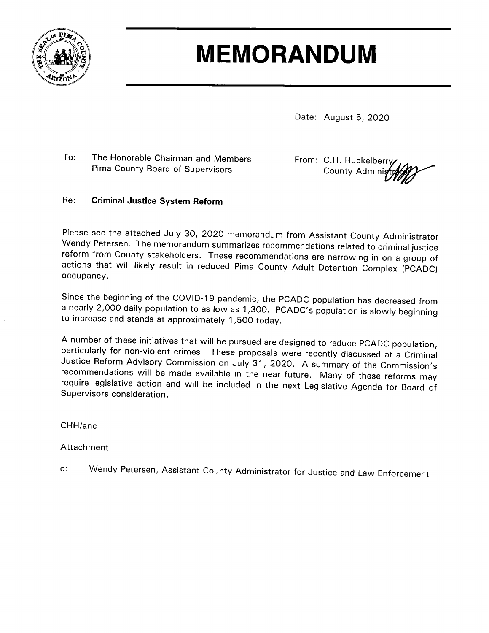

# **MEMORANDUM**

Date: August 5, 2020

To: The Honorable Chairman and Members Pima County Board of Supervisors

From: C.H. Huckelberry County Adminis

#### **Criminal Justice System Reform**  $Re:$

Please see the attached July 30, 2020 memorandum from Assistant County Administrator Wendy Petersen. The memorandum summarizes recommendations related to criminal justice reform from County stakeholders. These recommendations are narrowing in on a group of actions that will likely result in reduced Pima County Adult Detention Complex (PCADC) occupancy.

Since the beginning of the COVID-19 pandemic, the PCADC population has decreased from a nearly 2,000 daily population to as low as 1,300. PCADC's population is slowly beginning to increase and stands at approximately 1,500 today.

A number of these initiatives that will be pursued are designed to reduce PCADC population, particularly for non-violent crimes. These proposals were recently discussed at a Criminal Justice Reform Advisory Commission on July 31, 2020. A summary of the Commission's recommendations will be made available in the near future. Many of these reforms may require legislative action and will be included in the next Legislative Agenda for Board of Supervisors consideration.

CHH/anc

Attachment

Wendy Petersen, Assistant County Administrator for Justice and Law Enforcement  $C^*$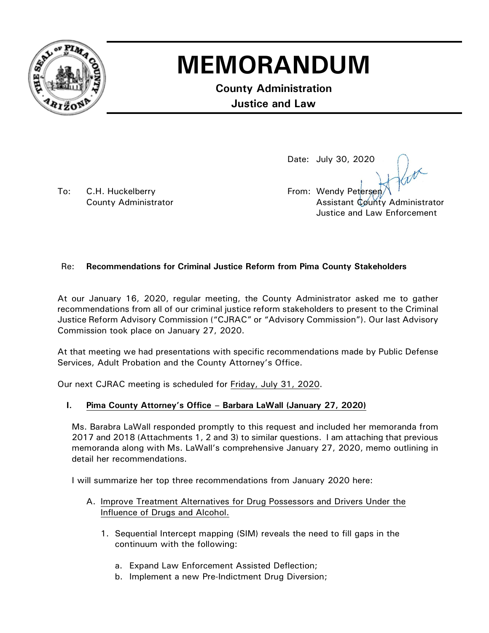

## **MEMORANDUM**

**County Administration Justice and Law**

To: C.H. Huckelberry **Example 20** From: Wendy Petersen

Date: July 30, 2020

County Administrator **Assistant County Administrator** Assistant County Administrator Justice and Law Enforcement

### Re: **Recommendations for Criminal Justice Reform from Pima County Stakeholders**

At our January 16, 2020, regular meeting, the County Administrator asked me to gather recommendations from all of our criminal justice reform stakeholders to present to the Criminal Justice Reform Advisory Commission ("CJRAC" or "Advisory Commission"). Our last Advisory Commission took place on January 27, 2020.

At that meeting we had presentations with specific recommendations made by Public Defense Services, Adult Probation and the County Attorney's Office.

Our next CJRAC meeting is scheduled for Friday, July 31, 2020.

### **I. Pima County Attorney's Office – Barbara LaWall (January 27, 2020)**

Ms. Barabra LaWall responded promptly to this request and included her memoranda from 2017 and 2018 (Attachments 1, 2 and 3) to similar questions. I am attaching that previous memoranda along with Ms. LaWall's comprehensive January 27, 2020, memo outlining in detail her recommendations.

I will summarize her top three recommendations from January 2020 here:

- A. Improve Treatment Alternatives for Drug Possessors and Drivers Under the Influence of Drugs and Alcohol.
	- 1. Sequential Intercept mapping (SIM) reveals the need to fill gaps in the continuum with the following:
		- a. Expand Law Enforcement Assisted Deflection;
		- b. Implement a new Pre-Indictment Drug Diversion;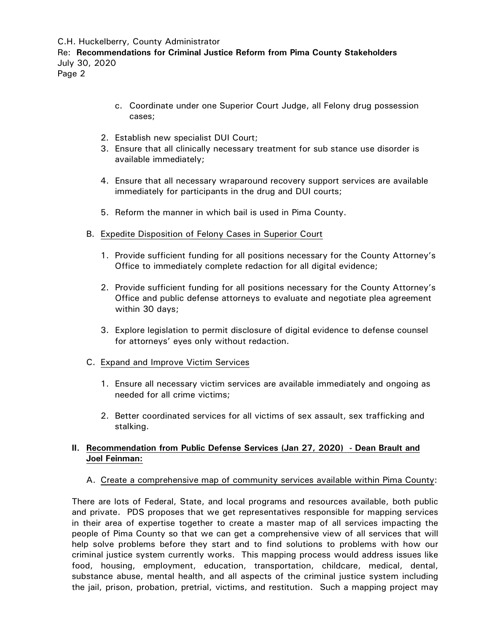C.H. Huckelberry, County Administrator

Re: **Recommendations for Criminal Justice Reform from Pima County Stakeholders** July 30, 2020

Page 2

- c. Coordinate under one Superior Court Judge, all Felony drug possession cases;
- 2. Establish new specialist DUI Court;
- 3. Ensure that all clinically necessary treatment for sub stance use disorder is available immediately;
- 4. Ensure that all necessary wraparound recovery support services are available immediately for participants in the drug and DUI courts;
- 5. Reform the manner in which bail is used in Pima County.
- B. Expedite Disposition of Felony Cases in Superior Court
	- 1. Provide sufficient funding for all positions necessary for the County Attorney's Office to immediately complete redaction for all digital evidence;
	- 2. Provide sufficient funding for all positions necessary for the County Attorney's Office and public defense attorneys to evaluate and negotiate plea agreement within 30 days;
	- 3. Explore legislation to permit disclosure of digital evidence to defense counsel for attorneys' eyes only without redaction.
- C. Expand and Improve Victim Services
	- 1. Ensure all necessary victim services are available immediately and ongoing as needed for all crime victims;
	- 2. Better coordinated services for all victims of sex assault, sex trafficking and stalking.

#### **II. Recommendation from Public Defense Services (Jan 27, 2020) - Dean Brault and Joel Feinman:**

A. Create a comprehensive map of community services available within Pima County:

There are lots of Federal, State, and local programs and resources available, both public and private. PDS proposes that we get representatives responsible for mapping services in their area of expertise together to create a master map of all services impacting the people of Pima County so that we can get a comprehensive view of all services that will help solve problems before they start and to find solutions to problems with how our criminal justice system currently works. This mapping process would address issues like food, housing, employment, education, transportation, childcare, medical, dental, substance abuse, mental health, and all aspects of the criminal justice system including the jail, prison, probation, pretrial, victims, and restitution. Such a mapping project may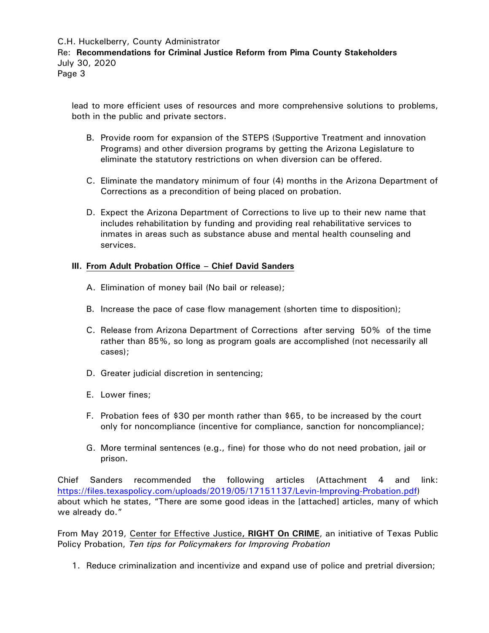lead to more efficient uses of resources and more comprehensive solutions to problems, both in the public and private sectors.

- B. Provide room for expansion of the STEPS (Supportive Treatment and innovation Programs) and other diversion programs by getting the Arizona Legislature to eliminate the statutory restrictions on when diversion can be offered.
- C. Eliminate the mandatory minimum of four (4) months in the Arizona Department of Corrections as a precondition of being placed on probation.
- D. Expect the Arizona Department of Corrections to live up to their new name that includes rehabilitation by funding and providing real rehabilitative services to inmates in areas such as substance abuse and mental health counseling and services.

#### **III. From Adult Probation Office – Chief David Sanders**

- A. Elimination of money bail (No bail or release);
- B. Increase the pace of case flow management (shorten time to disposition);
- C. Release from Arizona Department of Corrections after serving 50% of the time rather than 85%, so long as program goals are accomplished (not necessarily all cases);
- D. Greater judicial discretion in sentencing;
- E. Lower fines;
- F. Probation fees of \$30 per month rather than \$65, to be increased by the court only for noncompliance (incentive for compliance, sanction for noncompliance);
- G. More terminal sentences (e.g., fine) for those who do not need probation, jail or prison.

Chief Sanders recommended the following articles (Attachment 4 and link: [https://files.texaspolicy.com/uploads/2019/05/17151137/Levin-Improving-Probation.pdf\)](https://files.texaspolicy.com/uploads/2019/05/17151137/Levin-Improving-Probation.pdf) about which he states, "There are some good ideas in the [attached] articles, many of which we already do."

From May 2019, Center for Effective Justice**, RIGHT On CRIME**, an initiative of Texas Public Policy Probation, *Ten tips for Policymakers for Improving Probation*

1. Reduce criminalization and incentivize and expand use of police and pretrial diversion;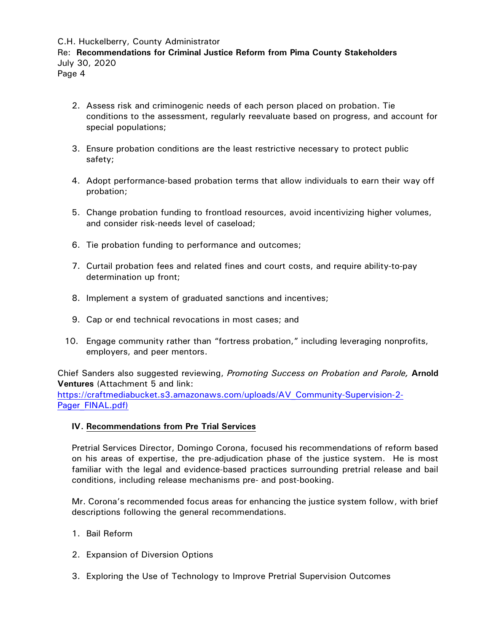- 2. Assess risk and criminogenic needs of each person placed on probation. Tie conditions to the assessment, regularly reevaluate based on progress, and account for special populations;
- 3. Ensure probation conditions are the least restrictive necessary to protect public safety;
- 4. Adopt performance-based probation terms that allow individuals to earn their way off probation;
- 5. Change probation funding to frontload resources, avoid incentivizing higher volumes, and consider risk-needs level of caseload;
- 6. Tie probation funding to performance and outcomes;
- 7. Curtail probation fees and related fines and court costs, and require ability-to-pay determination up front;
- 8. Implement a system of graduated sanctions and incentives;
- 9. Cap or end technical revocations in most cases; and
- 10. Engage community rather than "fortress probation," including leveraging nonprofits, employers, and peer mentors.

Chief Sanders also suggested reviewing, *Promoting Success on Probation and Parole,* **Arnold Ventures** (Attachment 5 and link:

[https://craftmediabucket.s3.amazonaws.com/uploads/AV\\_Community-Supervision-2-](https://craftmediabucket.s3.amazonaws.com/uploads/AV_Community-Supervision-2-Pager_FINAL.pdf) [Pager\\_FINAL.pdf\)](https://craftmediabucket.s3.amazonaws.com/uploads/AV_Community-Supervision-2-Pager_FINAL.pdf)

#### **IV. Recommendations from Pre Trial Services**

Pretrial Services Director, Domingo Corona, focused his recommendations of reform based on his areas of expertise, the pre-adjudication phase of the justice system. He is most familiar with the legal and evidence-based practices surrounding pretrial release and bail conditions, including release mechanisms pre- and post-booking.

Mr. Corona's recommended focus areas for enhancing the justice system follow, with brief descriptions following the general recommendations.

- 1. Bail Reform
- 2. Expansion of Diversion Options
- 3. Exploring the Use of Technology to Improve Pretrial Supervision Outcomes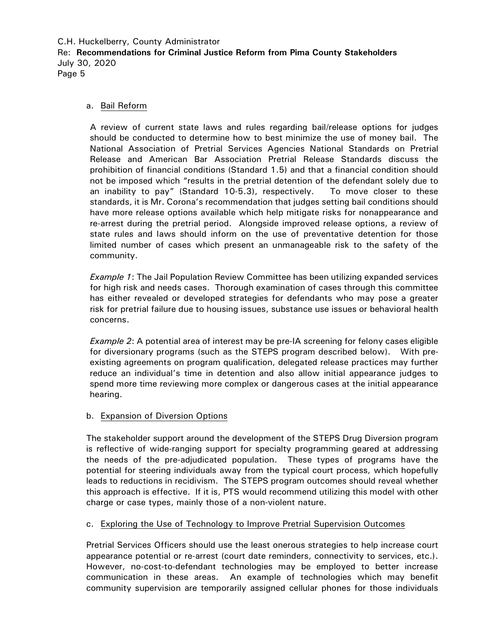#### a. Bail Reform

A review of current state laws and rules regarding bail/release options for judges should be conducted to determine how to best minimize the use of money bail. The National Association of Pretrial Services Agencies National Standards on Pretrial Release and American Bar Association Pretrial Release Standards discuss the prohibition of financial conditions (Standard 1.5) and that a financial condition should not be imposed which "results in the pretrial detention of the defendant solely due to an inability to pay" (Standard 10-5.3), respectively. To move closer to these standards, it is Mr. Corona's recommendation that judges setting bail conditions should have more release options available which help mitigate risks for nonappearance and re-arrest during the pretrial period. Alongside improved release options, a review of state rules and laws should inform on the use of preventative detention for those limited number of cases which present an unmanageable risk to the safety of the community.

*Example 1*: The Jail Population Review Committee has been utilizing expanded services for high risk and needs cases. Thorough examination of cases through this committee has either revealed or developed strategies for defendants who may pose a greater risk for pretrial failure due to housing issues, substance use issues or behavioral health concerns.

*Example 2*: A potential area of interest may be pre-IA screening for felony cases eligible for diversionary programs (such as the STEPS program described below). With preexisting agreements on program qualification, delegated release practices may further reduce an individual's time in detention and also allow initial appearance judges to spend more time reviewing more complex or dangerous cases at the initial appearance hearing.

#### b. Expansion of Diversion Options

The stakeholder support around the development of the STEPS Drug Diversion program is reflective of wide-ranging support for specialty programming geared at addressing the needs of the pre-adjudicated population. These types of programs have the potential for steering individuals away from the typical court process, which hopefully leads to reductions in recidivism. The STEPS program outcomes should reveal whether this approach is effective. If it is, PTS would recommend utilizing this model with other charge or case types, mainly those of a non-violent nature.

#### c. Exploring the Use of Technology to Improve Pretrial Supervision Outcomes

Pretrial Services Officers should use the least onerous strategies to help increase court appearance potential or re-arrest (court date reminders, connectivity to services, etc.). However, no-cost-to-defendant technologies may be employed to better increase communication in these areas. An example of technologies which may benefit community supervision are temporarily assigned cellular phones for those individuals